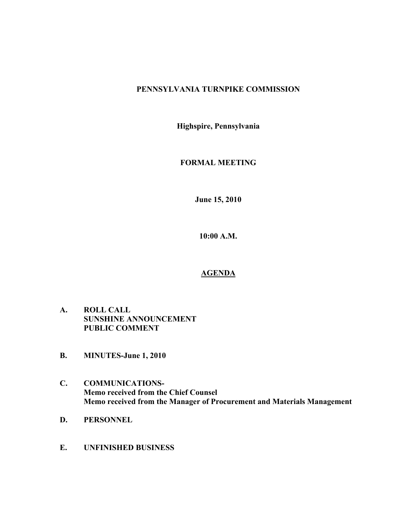# **PENNSYLVANIA TURNPIKE COMMISSION**

**Highspire, Pennsylvania**

# **FORMAL MEETING**

**June 15, 2010**

**10:00 A.M.**

## **AGENDA**

- **A. ROLL CALL SUNSHINE ANNOUNCEMENT PUBLIC COMMENT**
- **B. MINUTES-June 1, 2010**
- **C. COMMUNICATIONS-Memo received from the Chief Counsel Memo received from the Manager of Procurement and Materials Management**
- **D. PERSONNEL**
- **E. UNFINISHED BUSINESS**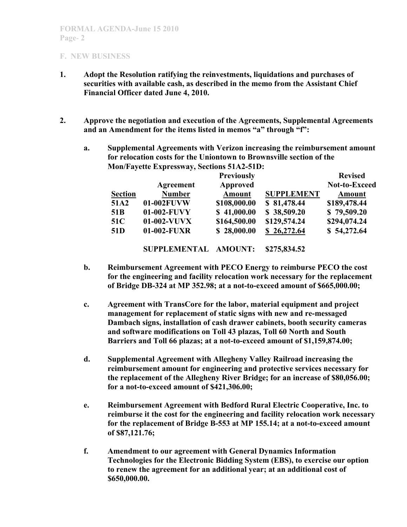- **1. Adopt the Resolution ratifying the reinvestments, liquidations and purchases of securities with available cash, as described in the memo from the Assistant Chief Financial Officer dated June 4, 2010.**
- **2. Approve the negotiation and execution of the Agreements, Supplemental Agreements and an Amendment for the items listed in memos "a" through "f":**
	- **a. Supplemental Agreements with Verizon increasing the reimbursement amount for relocation costs for the Uniontown to Brownsville section of the Mon/Fayette Expressway, Sections 51A2-51D:**

|                 |               | <b>Previously</b> |                   | <b>Revised</b> |
|-----------------|---------------|-------------------|-------------------|----------------|
|                 | Agreement     | Approved          |                   | Not-to-Exceed  |
| <b>Section</b>  | <b>Number</b> | <b>Amount</b>     | <b>SUPPLEMENT</b> | Amount         |
| 51A2            | 01-002FUVW    | \$108,000.00      | \$81,478.44       | \$189,478.44   |
| 51 <sub>B</sub> | 01-002-FUVY   | \$41,000.00       | \$38,509.20       | \$79,509.20    |
| <b>51C</b>      | 01-002-VUVX   | \$164,500.00      | \$129,574.24      | \$294,074.24   |
| 51 <sub>D</sub> | 01-002-FUXR   | \$28,000.00       | \$26,272.64       | \$54,272.64    |

**SUPPLEMENTAL AMOUNT: \$275,834.52**

- **b. Reimbursement Agreement with PECO Energy to reimburse PECO the cost for the engineering and facility relocation work necessary for the replacement of Bridge DB-324 at MP 352.98; at a not-to-exceed amount of \$665,000.00;**
- **c. Agreement with TransCore for the labor, material equipment and project management for replacement of static signs with new and re-messaged Dambach signs, installation of cash drawer cabinets, booth security cameras and software modifications on Toll 43 plazas, Toll 60 North and South Barriers and Toll 66 plazas; at a not-to-exceed amount of \$1,159,874.00;**
- **d. Supplemental Agreement with Allegheny Valley Railroad increasing the reimbursement amount for engineering and protective services necessary for the replacement of the Allegheny River Bridge; for an increase of \$80,056.00; for a not-to-exceed amount of \$421,306.00;**
- **e. Reimbursement Agreement with Bedford Rural Electric Cooperative, Inc. to reimburse it the cost for the engineering and facility relocation work necessary for the replacement of Bridge B-553 at MP 155.14; at a not-to-exceed amount of \$87,121.76;**
- **f. Amendment to our agreement with General Dynamics Information Technologies for the Electronic Bidding System (EBS), to exercise our option to renew the agreement for an additional year; at an additional cost of \$650,000.00.**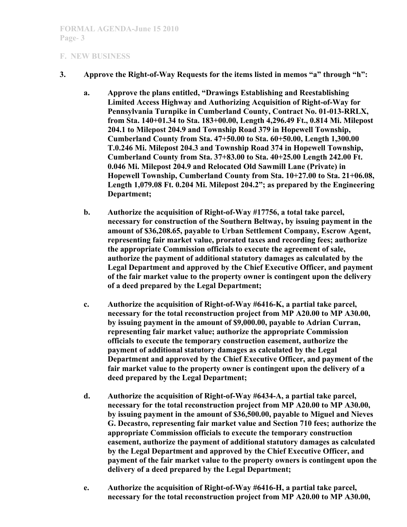- **3. Approve the Right-of-Way Requests for the items listed in memos "a" through "h":**
	- **a. Approve the plans entitled, "Drawings Establishing and Reestablishing Limited Access Highway and Authorizing Acquisition of Right-of-Way for Pennsylvania Turnpike in Cumberland County, Contract No. 01-013-RRLX, from Sta. 140+01.34 to Sta. 183+00.00, Length 4,296.49 Ft., 0.814 Mi. Milepost 204.1 to Milepost 204.9 and Township Road 379 in Hopewell Township, Cumberland County from Sta. 47+50.00 to Sta. 60+50.00, Length 1,300.00 T.0.246 Mi. Milepost 204.3 and Township Road 374 in Hopewell Township, Cumberland County from Sta. 37+83.00 to Sta. 40+25.00 Length 242.00 Ft. 0.046 Mi. Milepost 204.9 and Relocated Old Sawmill Lane (Private) in Hopewell Township, Cumberland County from Sta. 10+27.00 to Sta. 21+06.08, Length 1,079.08 Ft. 0.204 Mi. Milepost 204.2"; as prepared by the Engineering Department;**
	- **b. Authorize the acquisition of Right-of-Way #17756, a total take parcel, necessary for construction of the Southern Beltway, by issuing payment in the amount of \$36,208.65, payable to Urban Settlement Company, Escrow Agent, representing fair market value, prorated taxes and recording fees; authorize the appropriate Commission officials to execute the agreement of sale, authorize the payment of additional statutory damages as calculated by the Legal Department and approved by the Chief Executive Officer, and payment of the fair market value to the property owner is contingent upon the delivery of a deed prepared by the Legal Department;**
	- **c. Authorize the acquisition of Right-of-Way #6416-K, a partial take parcel, necessary for the total reconstruction project from MP A20.00 to MP A30.00, by issuing payment in the amount of \$9,000.00, payable to Adrian Curran, representing fair market value; authorize the appropriate Commission officials to execute the temporary construction easement, authorize the payment of additional statutory damages as calculated by the Legal Department and approved by the Chief Executive Officer, and payment of the fair market value to the property owner is contingent upon the delivery of a deed prepared by the Legal Department;**
	- **d. Authorize the acquisition of Right-of-Way #6434-A, a partial take parcel, necessary for the total reconstruction project from MP A20.00 to MP A30.00, by issuing payment in the amount of \$36,500.00, payable to Miguel and Nieves G. Decastro, representing fair market value and Section 710 fees; authorize the appropriate Commission officials to execute the temporary construction easement, authorize the payment of additional statutory damages as calculated by the Legal Department and approved by the Chief Executive Officer, and payment of the fair market value to the property owners is contingent upon the delivery of a deed prepared by the Legal Department;**
	- **e. Authorize the acquisition of Right-of-Way #6416-H, a partial take parcel, necessary for the total reconstruction project from MP A20.00 to MP A30.00,**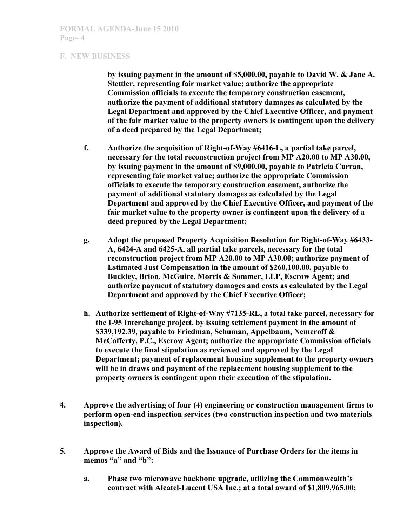**by issuing payment in the amount of \$5,000.00, payable to David W. & Jane A. Stettler, representing fair market value; authorize the appropriate Commission officials to execute the temporary construction easement, authorize the payment of additional statutory damages as calculated by the Legal Department and approved by the Chief Executive Officer, and payment of the fair market value to the property owners is contingent upon the delivery of a deed prepared by the Legal Department;**

- **f. Authorize the acquisition of Right-of-Way #6416-L, a partial take parcel, necessary for the total reconstruction project from MP A20.00 to MP A30.00, by issuing payment in the amount of \$9,000.00, payable to Patricia Curran, representing fair market value; authorize the appropriate Commission officials to execute the temporary construction easement, authorize the payment of additional statutory damages as calculated by the Legal Department and approved by the Chief Executive Officer, and payment of the fair market value to the property owner is contingent upon the delivery of a deed prepared by the Legal Department;**
- **g. Adopt the proposed Property Acquisition Resolution for Right-of-Way #6433- A, 6424-A and 6425-A, all partial take parcels, necessary for the total reconstruction project from MP A20.00 to MP A30.00; authorize payment of Estimated Just Compensation in the amount of \$260,100.00, payable to Buckley, Brion, McGuire, Morris & Sommer, LLP, Escrow Agent; and authorize payment of statutory damages and costs as calculated by the Legal Department and approved by the Chief Executive Officer;**
- **h. Authorize settlement of Right-of-Way #7135-RE, a total take parcel, necessary for the I-95 Interchange project, by issuing settlement payment in the amount of \$339,192.39, payable to Friedman, Schuman, Appelbaum, Nemeroff & McCafferty, P.C., Escrow Agent; authorize the appropriate Commission officials to execute the final stipulation as reviewed and approved by the Legal Department; payment of replacement housing supplement to the property owners will be in draws and payment of the replacement housing supplement to the property owners is contingent upon their execution of the stipulation.**
- **4. Approve the advertising of four (4) engineering or construction management firms to perform open-end inspection services (two construction inspection and two materials inspection).**
- **5. Approve the Award of Bids and the Issuance of Purchase Orders for the items in**  memos "a" and "b":
	- **a. Phase two microwave backbone upgrade, utilizing the Commonwealth's contract with Alcatel-Lucent USA Inc.; at a total award of \$1,809,965.00;**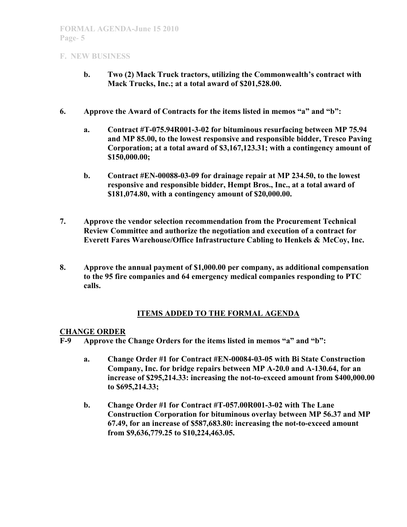- **b. Two (2) Mack Truck tractors, utilizing the Commonwealth's contract with Mack Trucks, Inc.; at a total award of \$201,528.00.**
- **6. Approve the Award of Contracts for the items listed in memos "a" and "b":**
	- **a. Contract #T-075.94R001-3-02 for bituminous resurfacing between MP 75.94 and MP 85.00, to the lowest responsive and responsible bidder, Tresco Paving Corporation; at a total award of \$3,167,123.31; with a contingency amount of \$150,000.00;**
	- **b. Contract #EN-00088-03-09 for drainage repair at MP 234.50, to the lowest responsive and responsible bidder, Hempt Bros., Inc., at a total award of \$181,074.80, with a contingency amount of \$20,000.00.**
- **7. Approve the vendor selection recommendation from the Procurement Technical Review Committee and authorize the negotiation and execution of a contract for Everett Fares Warehouse/Office Infrastructure Cabling to Henkels & McCoy, Inc.**
- **8. Approve the annual payment of \$1,000.00 per company, as additional compensation to the 95 fire companies and 64 emergency medical companies responding to PTC calls.**

## **ITEMS ADDED TO THE FORMAL AGENDA**

### **CHANGE ORDER**

**F-9 Approve the Change Orders for the items listed in memos "a" and "b":**

- **a. Change Order #1 for Contract #EN-00084-03-05 with Bi State Construction Company, Inc. for bridge repairs between MP A-20.0 and A-130.64, for an increase of \$295,214.33: increasing the not-to-exceed amount from \$400,000.00 to \$695,214.33;**
- **b. Change Order #1 for Contract #T-057.00R001-3-02 with The Lane Construction Corporation for bituminous overlay between MP 56.37 and MP 67.49, for an increase of \$587,683.80: increasing the not-to-exceed amount from \$9,636,779.25 to \$10,224,463.05.**